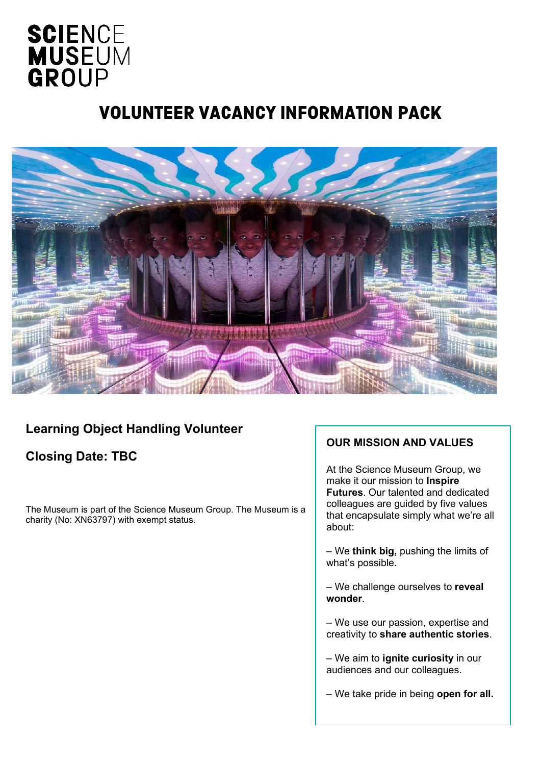# **SCIENCE MUSEUM** GROUP

### VOLUNTEER VACANCY INFORMATION PACK



### **Learning Object Handling Volunteer**

### **Closing Date: TBC**

The Museum is part of the Science Museum Group. The Museum is a charity (No: XN63797) with exempt status.

#### **OUR MISSION AND VALUES**

At the Science Museum Group, we make it our mission to **Inspire Futures**. Our talented and dedicated colleagues are guided by five values that encapsulate simply what we're all about:

– We **think big,** pushing the limits of what's possible.

– We challenge ourselves to **reveal wonder**.

– We use our passion, expertise and creativity to **share authentic stories**.

– We aim to **ignite curiosity** in our audiences and our colleagues.

– We take pride in being **open for all.**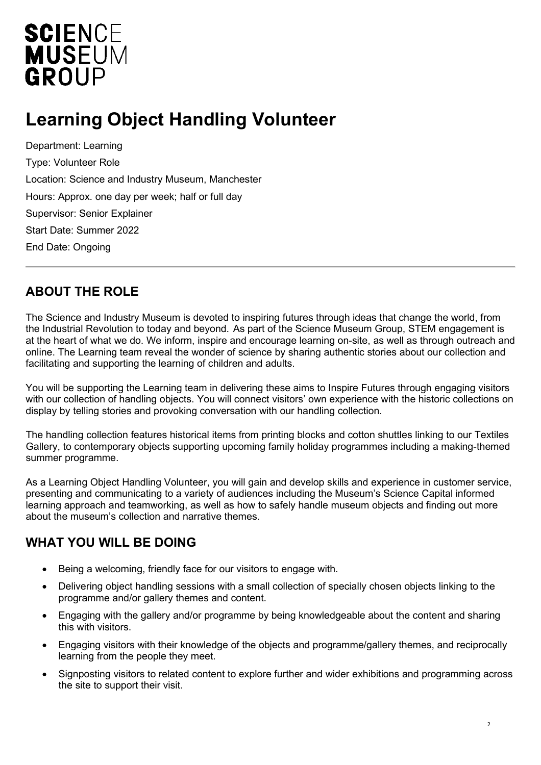# **SCIENCE MUSEUM** GROUP

## **Learning Object Handling Volunteer**

Department: Learning Type: Volunteer Role Location: Science and Industry Museum, Manchester Hours: Approx. one day per week; half or full day Supervisor: Senior Explainer Start Date: Summer 2022 End Date: Ongoing

#### **ABOUT THE ROLE**

The Science and Industry Museum is devoted to inspiring futures through ideas that change the world, from the Industrial Revolution to today and beyond. As part of the Science Museum Group, STEM engagement is at the heart of what we do. We inform, inspire and encourage learning on-site, as well as through outreach and online. The Learning team reveal the wonder of science by sharing authentic stories about our collection and facilitating and supporting the learning of children and adults.

You will be supporting the Learning team in delivering these aims to Inspire Futures through engaging visitors with our collection of handling objects. You will connect visitors' own experience with the historic collections on display by telling stories and provoking conversation with our handling collection.

The handling collection features historical items from printing blocks and cotton shuttles linking to our Textiles Gallery, to contemporary objects supporting upcoming family holiday programmes including a making-themed summer programme.

As a Learning Object Handling Volunteer, you will gain and develop skills and experience in customer service, presenting and communicating to a variety of audiences including the Museum's Science Capital informed learning approach and teamworking, as well as how to safely handle museum objects and finding out more about the museum's collection and narrative themes.

### **WHAT YOU WILL BE DOING**

- Being a welcoming, friendly face for our visitors to engage with.
- Delivering object handling sessions with a small collection of specially chosen objects linking to the programme and/or gallery themes and content.
- Engaging with the gallery and/or programme by being knowledgeable about the content and sharing this with visitors.
- Engaging visitors with their knowledge of the objects and programme/gallery themes, and reciprocally learning from the people they meet.
- Signposting visitors to related content to explore further and wider exhibitions and programming across the site to support their visit.